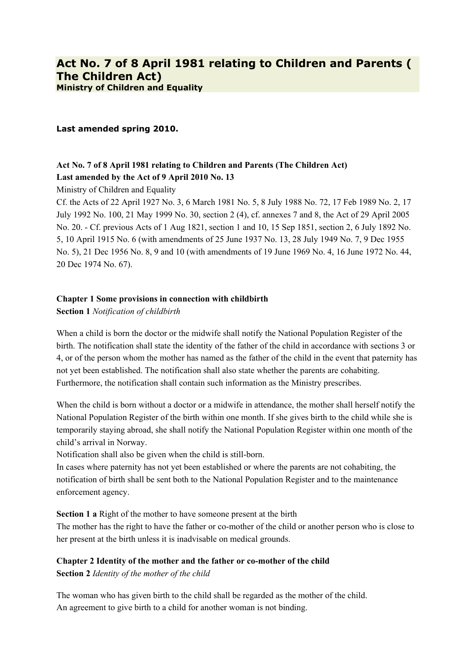## **Last amended spring 2010.**

# **Act No. 7 of 8 April 1981 relating to Children and Parents (The Children Act) Last amended by the Act of 9 April 2010 No. 13**

Ministry of Children and Equality

Cf. the Acts of 22 April 1927 No. 3, 6 March 1981 No. 5, 8 July 1988 No. 72, 17 Feb 1989 No. 2, 17 July 1992 No. 100, 21 May 1999 No. 30, section 2 (4), cf. annexes 7 and 8, the Act of 29 April 2005 No. 20. - Cf. previous Acts of 1 Aug 1821, section 1 and 10, 15 Sep 1851, section 2, 6 July 1892 No. 5, 10 April 1915 No. 6 (with amendments of 25 June 1937 No. 13, 28 July 1949 No. 7, 9 Dec 1955 No. 5), 21 Dec 1956 No. 8, 9 and 10 (with amendments of 19 June 1969 No. 4, 16 June 1972 No. 44, 20 Dec 1974 No. 67).

## **Chapter 1 Some provisions in connection with childbirth**

**Section 1** *Notification of childbirth*

When a child is born the doctor or the midwife shall notify the National Population Register of the birth. The notification shall state the identity of the father of the child in accordance with sections 3 or 4, or of the person whom the mother has named as the father of the child in the event that paternity has not yet been established. The notification shall also state whether the parents are cohabiting. Furthermore, the notification shall contain such information as the Ministry prescribes.

When the child is born without a doctor or a midwife in attendance, the mother shall herself notify the National Population Register of the birth within one month. If she gives birth to the child while she is temporarily staying abroad, she shall notify the National Population Register within one month of the child's arrival in Norway.

Notification shall also be given when the child is still-born.

In cases where paternity has not yet been established or where the parents are not cohabiting, the notification of birth shall be sent both to the National Population Register and to the maintenance enforcement agency.

**Section 1 a** Right of the mother to have someone present at the birth

The mother has the right to have the father or co-mother of the child or another person who is close to her present at the birth unless it is inadvisable on medical grounds.

# **Chapter 2 Identity of the mother and the father or co-mother of the child**

**Section 2** *Identity of the mother of the child*

The woman who has given birth to the child shall be regarded as the mother of the child. An agreement to give birth to a child for another woman is not binding.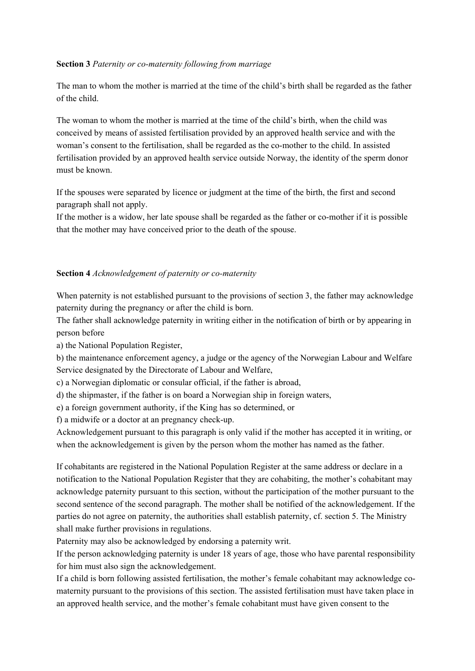## **Section 3** *Paternity or co-maternity following from marriage*

The man to whom the mother is married at the time of the child's birth shall be regarded as the father of the child.

The woman to whom the mother is married at the time of the child's birth, when the child was conceived by means of assisted fertilisation provided by an approved health service and with the woman's consent to the fertilisation, shall be regarded as the co-mother to the child. In assisted fertilisation provided by an approved health service outside Norway, the identity of the sperm donor must be known.

If the spouses were separated by licence or judgment at the time of the birth, the first and second paragraph shall not apply.

If the mother is a widow, her late spouse shall be regarded as the father or co-mother if it is possible that the mother may have conceived prior to the death of the spouse.

#### **Section 4** *Acknowledgement of paternity or co-maternity*

When paternity is not established pursuant to the provisions of section 3, the father may acknowledge paternity during the pregnancy or after the child is born.

The father shall acknowledge paternity in writing either in the notification of birth or by appearing in person before

a) the National Population Register,

b) the maintenance enforcement agency, a judge or the agency of the Norwegian Labour and Welfare Service designated by the Directorate of Labour and Welfare,

c) a Norwegian diplomatic or consular official, if the father is abroad,

d) the shipmaster, if the father is on board a Norwegian ship in foreign waters,

e) a foreign government authority, if the King has so determined, or

f) a midwife or a doctor at an pregnancy check-up.

Acknowledgement pursuant to this paragraph is only valid if the mother has accepted it in writing, or when the acknowledgement is given by the person whom the mother has named as the father.

If cohabitants are registered in the National Population Register at the same address or declare in a notification to the National Population Register that they are cohabiting, the mother's cohabitant may acknowledge paternity pursuant to this section, without the participation of the mother pursuant to the second sentence of the second paragraph. The mother shall be notified of the acknowledgement. If the parties do not agree on paternity, the authorities shall establish paternity, cf. section 5. The Ministry shall make further provisions in regulations.

Paternity may also be acknowledged by endorsing a paternity writ.

If the person acknowledging paternity is under 18 years of age, those who have parental responsibility for him must also sign the acknowledgement.

If a child is born following assisted fertilisation, the mother's female cohabitant may acknowledge comaternity pursuant to the provisions of this section. The assisted fertilisation must have taken place in an approved health service, and the mother's female cohabitant must have given consent to the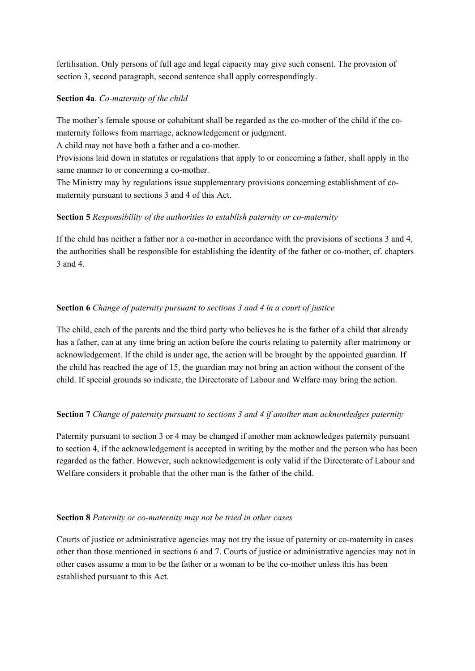fertilisation. Only persons of full age and legal capacity may give such consent. The provision of section 3, second paragraph, second sentence shall apply correspondingly.

#### **Section 4a**. *Co-maternity of the child*

The mother's female spouse or cohabitant shall be regarded as the co-mother of the child if the comaternity follows from marriage, acknowledgement or judgment.

A child may not have both a father and a co-mother.

Provisions laid down in statutes or regulations that apply to or concerning a father, shall apply in the same manner to or concerning a co-mother.

The Ministry may by regulations issue supplementary provisions concerning establishment of comaternity pursuant to sections 3 and 4 of this Act.

# **Section 5** *Responsibility of the authorities to establish paternity or co-maternity*

If the child has neither a father nor a co-mother in accordance with the provisions of sections 3 and 4, the authorities shall be responsible for establishing the identity of the father or co-mother, cf. chapters 3 and 4.

# **Section 6** *Change of paternity pursuant to sections 3 and 4 in a court of justice*

The child, each of the parents and the third party who believes he is the father of a child that already has a father, can at any time bring an action before the courts relating to paternity after matrimony or acknowledgement. If the child is under age, the action will be brought by the appointed guardian. If the child has reached the age of 15, the guardian may not bring an action without the consent of the child. If special grounds so indicate, the Directorate of Labour and Welfare may bring the action.

## **Section 7** *Change of paternity pursuant to sections 3 and 4 if another man acknowledges paternity*

Paternity pursuant to section 3 or 4 may be changed if another man acknowledges paternity pursuant to section 4, if the acknowledgement is accepted in writing by the mother and the person who has been regarded as the father. However, such acknowledgement is only valid if the Directorate of Labour and Welfare considers it probable that the other man is the father of the child.

## **Section 8** *Paternity or co-maternity may not be tried in other cases*

Courts of justice or administrative agencies may not try the issue of paternity or co-maternity in cases other than those mentioned in sections 6 and 7. Courts of justice or administrative agencies may not in other cases assume a man to be the father or a woman to be the co-mother unless this has been established pursuant to this Act.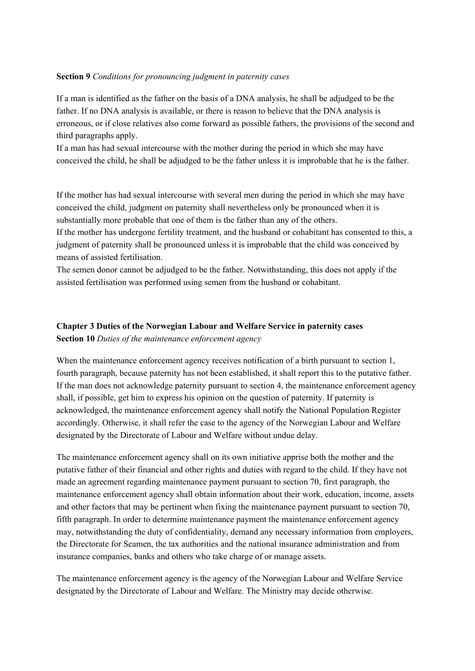#### **Section 9** *Conditions for pronouncing judgment in paternity cases*

If a man is identified as the father on the basis of a DNA analysis, he shall be adjudged to be the father. If no DNA analysis is available, or there is reason to believe that the DNA analysis is erroneous, or if close relatives also come forward as possible fathers, the provisions of the second and third paragraphs apply.

If a man has had sexual intercourse with the mother during the period in which she may have conceived the child, he shall be adjudged to be the father unless it is improbable that he is the father.

If the mother has had sexual intercourse with several men during the period in which she may have conceived the child, judgment on paternity shall nevertheless only be pronounced when it is substantially more probable that one of them is the father than any of the others.

If the mother has undergone fertility treatment, and the husband or cohabitant has consented to this, a judgment of paternity shall be pronounced unless it is improbable that the child was conceived by means of assisted fertilisation.

The semen donor cannot be adjudged to be the father. Notwithstanding, this does not apply if the assisted fertilisation was performed using semen from the husband or cohabitant.

# **Chapter 3 Duties of the Norwegian Labour and Welfare Service in paternity cases Section 10** *Duties of the maintenance enforcement agency*

When the maintenance enforcement agency receives notification of a birth pursuant to section 1, fourth paragraph, because paternity has not been established, it shall report this to the putative father. If the man does not acknowledge paternity pursuant to section 4, the maintenance enforcement agency shall, if possible, get him to express his opinion on the question of paternity. If paternity is acknowledged, the maintenance enforcement agency shall notify the National Population Register accordingly. Otherwise, it shall refer the case to the agency of the Norwegian Labour and Welfare designated by the Directorate of Labour and Welfare without undue delay.

The maintenance enforcement agency shall on its own initiative apprise both the mother and the putative father of their financial and other rights and duties with regard to the child. If they have not made an agreement regarding maintenance payment pursuant to section 70, first paragraph, the maintenance enforcement agency shall obtain information about their work, education, income, assets and other factors that may be pertinent when fixing the maintenance payment pursuant to section 70, fifth paragraph. In order to determine maintenance payment the maintenance enforcement agency may, notwithstanding the duty of confidentiality, demand any necessary information from employers, the Directorate for Seamen, the tax authorities and the national insurance administration and from insurance companies, banks and others who take charge of or manage assets.

The maintenance enforcement agency is the agency of the Norwegian Labour and Welfare Service designated by the Directorate of Labour and Welfare. The Ministry may decide otherwise.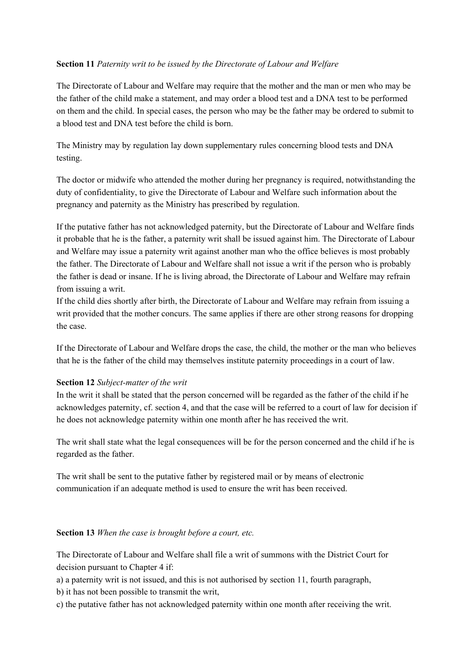# **Section 11** *Paternity writ to be issued by the Directorate of Labour and Welfare*

The Directorate of Labour and Welfare may require that the mother and the man or men who may be the father of the child make a statement, and may order a blood test and a DNA test to be performed on them and the child. In special cases, the person who may be the father may be ordered to submit to a blood test and DNA test before the child is born.

The Ministry may by regulation lay down supplementary rules concerning blood tests and DNA testing.

The doctor or midwife who attended the mother during her pregnancy is required, notwithstanding the duty of confidentiality, to give the Directorate of Labour and Welfare such information about the pregnancy and paternity as the Ministry has prescribed by regulation.

If the putative father has not acknowledged paternity, but the Directorate of Labour and Welfare finds it probable that he is the father, a paternity writ shall be issued against him. The Directorate of Labour and Welfare may issue a paternity writ against another man who the office believes is most probably the father. The Directorate of Labour and Welfare shall not issue a writ if the person who is probably the father is dead or insane. If he is living abroad, the Directorate of Labour and Welfare may refrain from issuing a writ.

If the child dies shortly after birth, the Directorate of Labour and Welfare may refrain from issuing a writ provided that the mother concurs. The same applies if there are other strong reasons for dropping the case.

If the Directorate of Labour and Welfare drops the case, the child, the mother or the man who believes that he is the father of the child may themselves institute paternity proceedings in a court of law.

## **Section 12** *Subject-matter of the writ*

In the writ it shall be stated that the person concerned will be regarded as the father of the child if he acknowledges paternity, cf. section 4, and that the case will be referred to a court of law for decision if he does not acknowledge paternity within one month after he has received the writ.

The writ shall state what the legal consequences will be for the person concerned and the child if he is regarded as the father.

The writ shall be sent to the putative father by registered mail or by means of electronic communication if an adequate method is used to ensure the writ has been received.

## **Section 13** *When the case is brought before a court, etc.*

The Directorate of Labour and Welfare shall file a writ of summons with the District Court for decision pursuant to Chapter 4 if:

a) a paternity writ is not issued, and this is not authorised by section 11, fourth paragraph,

b) it has not been possible to transmit the writ,

c) the putative father has not acknowledged paternity within one month after receiving the writ.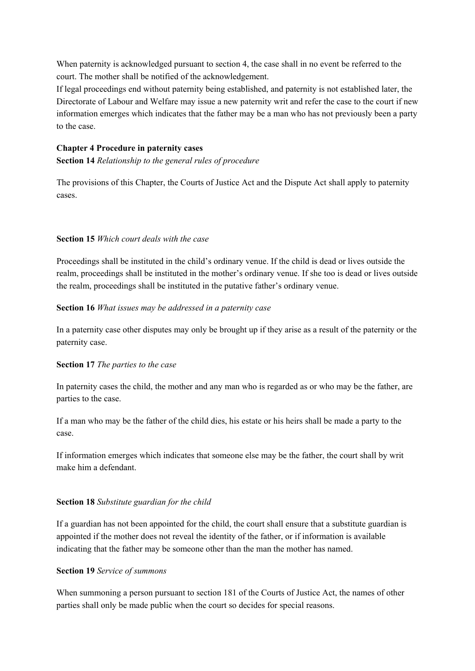When paternity is acknowledged pursuant to section 4, the case shall in no event be referred to the court. The mother shall be notified of the acknowledgement.

If legal proceedings end without paternity being established, and paternity is not established later, the Directorate of Labour and Welfare may issue a new paternity writ and refer the case to the court if new information emerges which indicates that the father may be a man who has not previously been a party to the case.

#### **Chapter 4 Procedure in paternity cases**

**Section 14** *Relationship to the general rules of procedure*

The provisions of this Chapter, the Courts of Justice Act and the Dispute Act shall apply to paternity cases.

#### **Section 15** *Which court deals with the case*

Proceedings shall be instituted in the child's ordinary venue. If the child is dead or lives outside the realm, proceedings shall be instituted in the mother's ordinary venue. If she too is dead or lives outside the realm, proceedings shall be instituted in the putative father's ordinary venue.

#### **Section 16** *What issues may be addressed in a paternity case*

In a paternity case other disputes may only be brought up if they arise as a result of the paternity or the paternity case.

#### **Section 17** *The parties to the case*

In paternity cases the child, the mother and any man who is regarded as or who may be the father, are parties to the case.

If a man who may be the father of the child dies, his estate or his heirs shall be made a party to the case.

If information emerges which indicates that someone else may be the father, the court shall by writ make him a defendant.

## **Section 18** *Substitute guardian for the child*

If a guardian has not been appointed for the child, the court shall ensure that a substitute guardian is appointed if the mother does not reveal the identity of the father, or if information is available indicating that the father may be someone other than the man the mother has named.

#### **Section 19** *Service of summons*

When summoning a person pursuant to section 181 of the Courts of Justice Act, the names of other parties shall only be made public when the court so decides for special reasons.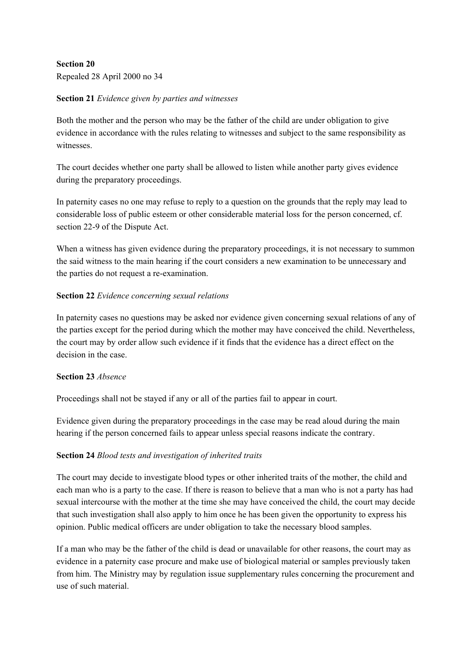# **Section 20**

Repealed 28 April 2000 no 34

## **Section 21** *Evidence given by parties and witnesses*

Both the mother and the person who may be the father of the child are under obligation to give evidence in accordance with the rules relating to witnesses and subject to the same responsibility as witnesses.

The court decides whether one party shall be allowed to listen while another party gives evidence during the preparatory proceedings.

In paternity cases no one may refuse to reply to a question on the grounds that the reply may lead to considerable loss of public esteem or other considerable material loss for the person concerned, cf. section 22-9 of the Dispute Act.

When a witness has given evidence during the preparatory proceedings, it is not necessary to summon the said witness to the main hearing if the court considers a new examination to be unnecessary and the parties do not request a re-examination.

# **Section 22** *Evidence concerning sexual relations*

In paternity cases no questions may be asked nor evidence given concerning sexual relations of any of the parties except for the period during which the mother may have conceived the child. Nevertheless, the court may by order allow such evidence if it finds that the evidence has a direct effect on the decision in the case.

## **Section 23** *Absence*

Proceedings shall not be stayed if any or all of the parties fail to appear in court.

Evidence given during the preparatory proceedings in the case may be read aloud during the main hearing if the person concerned fails to appear unless special reasons indicate the contrary.

# **Section 24** *Blood tests and investigation of inherited traits*

The court may decide to investigate blood types or other inherited traits of the mother, the child and each man who is a party to the case. If there is reason to believe that a man who is not a party has had sexual intercourse with the mother at the time she may have conceived the child, the court may decide that such investigation shall also apply to him once he has been given the opportunity to express his opinion. Public medical officers are under obligation to take the necessary blood samples.

If a man who may be the father of the child is dead or unavailable for other reasons, the court may as evidence in a paternity case procure and make use of biological material or samples previously taken from him. The Ministry may by regulation issue supplementary rules concerning the procurement and use of such material.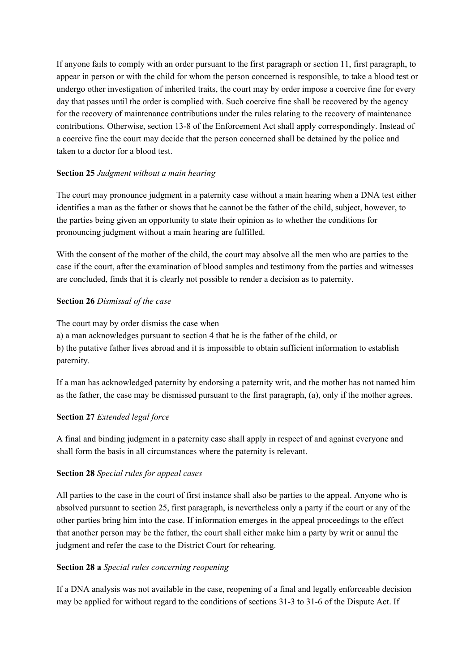If anyone fails to comply with an order pursuant to the first paragraph or section 11, first paragraph, to appear in person or with the child for whom the person concerned is responsible, to take a blood test or undergo other investigation of inherited traits, the court may by order impose a coercive fine for every day that passes until the order is complied with. Such coercive fine shall be recovered by the agency for the recovery of maintenance contributions under the rules relating to the recovery of maintenance contributions. Otherwise, section 13-8 of the Enforcement Act shall apply correspondingly. Instead of a coercive fine the court may decide that the person concerned shall be detained by the police and taken to a doctor for a blood test.

# **Section 25** *Judgment without a main hearing*

The court may pronounce judgment in a paternity case without a main hearing when a DNA test either identifies a man as the father or shows that he cannot be the father of the child, subject, however, to the parties being given an opportunity to state their opinion as to whether the conditions for pronouncing judgment without a main hearing are fulfilled.

With the consent of the mother of the child, the court may absolve all the men who are parties to the case if the court, after the examination of blood samples and testimony from the parties and witnesses are concluded, finds that it is clearly not possible to render a decision as to paternity.

# **Section 26** *Dismissal of the case*

The court may by order dismiss the case when a) a man acknowledges pursuant to section 4 that he is the father of the child, or b) the putative father lives abroad and it is impossible to obtain sufficient information to establish paternity.

If a man has acknowledged paternity by endorsing a paternity writ, and the mother has not named him as the father, the case may be dismissed pursuant to the first paragraph, (a), only if the mother agrees.

# **Section 27** *Extended legal force*

A final and binding judgment in a paternity case shall apply in respect of and against everyone and shall form the basis in all circumstances where the paternity is relevant.

## **Section 28** *Special rules for appeal cases*

All parties to the case in the court of first instance shall also be parties to the appeal. Anyone who is absolved pursuant to section 25, first paragraph, is nevertheless only a party if the court or any of the other parties bring him into the case. If information emerges in the appeal proceedings to the effect that another person may be the father, the court shall either make him a party by writ or annul the judgment and refer the case to the District Court for rehearing.

## **Section 28 a** *Special rules concerning reopening*

If a DNA analysis was not available in the case, reopening of a final and legally enforceable decision may be applied for without regard to the conditions of sections 31-3 to 31-6 of the Dispute Act. If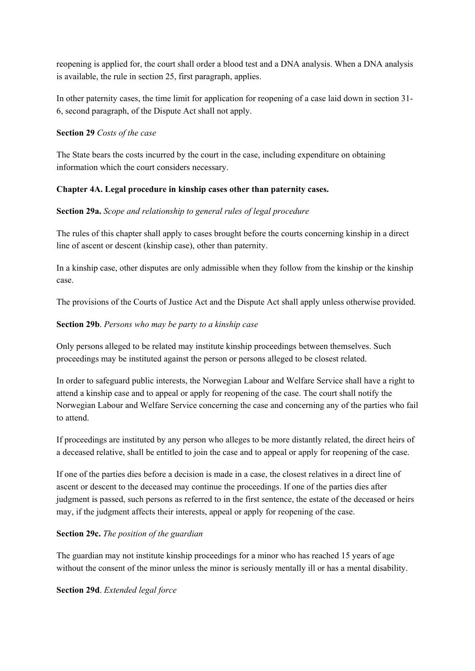reopening is applied for, the court shall order a blood test and a DNA analysis. When a DNA analysis is available, the rule in section 25, first paragraph, applies.

In other paternity cases, the time limit for application for reopening of a case laid down in section 31- 6, second paragraph, of the Dispute Act shall not apply.

#### **Section 29** *Costs of the case*

The State bears the costs incurred by the court in the case, including expenditure on obtaining information which the court considers necessary.

## **Chapter 4A. Legal procedure in kinship cases other than paternity cases.**

#### **Section 29a.** *Scope and relationship to general rules of legal procedure*

The rules of this chapter shall apply to cases brought before the courts concerning kinship in a direct line of ascent or descent (kinship case), other than paternity.

In a kinship case, other disputes are only admissible when they follow from the kinship or the kinship case.

The provisions of the Courts of Justice Act and the Dispute Act shall apply unless otherwise provided.

#### **Section 29b**. *Persons who may be party to a kinship case*

Only persons alleged to be related may institute kinship proceedings between themselves. Such proceedings may be instituted against the person or persons alleged to be closest related.

In order to safeguard public interests, the Norwegian Labour and Welfare Service shall have a right to attend a kinship case and to appeal or apply for reopening of the case. The court shall notify the Norwegian Labour and Welfare Service concerning the case and concerning any of the parties who fail to attend.

If proceedings are instituted by any person who alleges to be more distantly related, the direct heirs of a deceased relative, shall be entitled to join the case and to appeal or apply for reopening of the case.

If one of the parties dies before a decision is made in a case, the closest relatives in a direct line of ascent or descent to the deceased may continue the proceedings. If one of the parties dies after judgment is passed, such persons as referred to in the first sentence, the estate of the deceased or heirs may, if the judgment affects their interests, appeal or apply for reopening of the case.

#### **Section 29c.** *The position of the guardian*

The guardian may not institute kinship proceedings for a minor who has reached 15 years of age without the consent of the minor unless the minor is seriously mentally ill or has a mental disability.

#### **Section 29d**. *Extended legal force*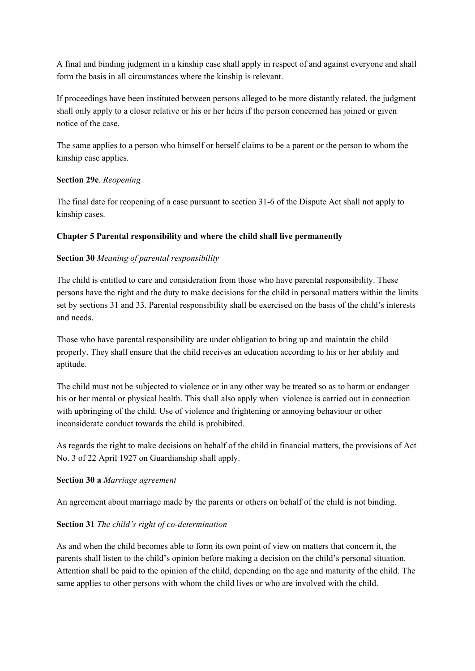A final and binding judgment in a kinship case shall apply in respect of and against everyone and shall form the basis in all circumstances where the kinship is relevant.

If proceedings have been instituted between persons alleged to be more distantly related, the judgment shall only apply to a closer relative or his or her heirs if the person concerned has joined or given notice of the case.

The same applies to a person who himself or herself claims to be a parent or the person to whom the kinship case applies.

#### **Section 29e**. *Reopening*

The final date for reopening of a case pursuant to section 31-6 of the Dispute Act shall not apply to kinship cases.

## **Chapter 5 Parental responsibility and where the child shall live permanently**

## **Section 30** *Meaning of parental responsibility*

The child is entitled to care and consideration from those who have parental responsibility. These persons have the right and the duty to make decisions for the child in personal matters within the limits set by sections 31 and 33. Parental responsibility shall be exercised on the basis of the child's interests and needs.

Those who have parental responsibility are under obligation to bring up and maintain the child properly. They shall ensure that the child receives an education according to his or her ability and aptitude.

The child must not be subjected to violence or in any other way be treated so as to harm or endanger his or her mental or physical health. This shall also apply when violence is carried out in connection with upbringing of the child. Use of violence and frightening or annoying behaviour or other inconsiderate conduct towards the child is prohibited.

As regards the right to make decisions on behalf of the child in financial matters, the provisions of Act No. 3 of 22 April 1927 on Guardianship shall apply.

#### **Section 30 a** *Marriage agreement*

An agreement about marriage made by the parents or others on behalf of the child is not binding.

## **Section 31** *The child's right of co-determination*

As and when the child becomes able to form its own point of view on matters that concern it, the parents shall listen to the child's opinion before making a decision on the child's personal situation. Attention shall be paid to the opinion of the child, depending on the age and maturity of the child. The same applies to other persons with whom the child lives or who are involved with the child.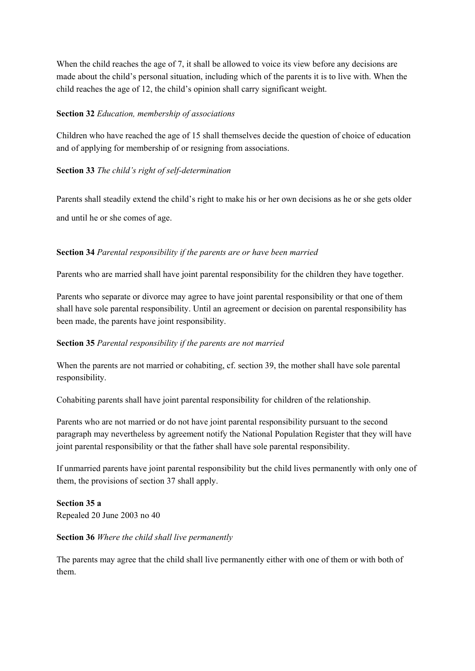When the child reaches the age of 7, it shall be allowed to voice its view before any decisions are made about the child's personal situation, including which of the parents it is to live with. When the child reaches the age of 12, the child's opinion shall carry significant weight.

#### **Section 32** *Education, membership of associations*

Children who have reached the age of 15 shall themselves decide the question of choice of education and of applying for membership of or resigning from associations.

## **Section 33** *The child's right of self-determination*

Parents shall steadily extend the child's right to make his or her own decisions as he or she gets older

and until he or she comes of age.

# **Section 34** *Parental responsibility if the parents are or have been married*

Parents who are married shall have joint parental responsibility for the children they have together.

Parents who separate or divorce may agree to have joint parental responsibility or that one of them shall have sole parental responsibility. Until an agreement or decision on parental responsibility has been made, the parents have joint responsibility.

# **Section 35** *Parental responsibility if the parents are not married*

When the parents are not married or cohabiting, cf. section 39, the mother shall have sole parental responsibility.

Cohabiting parents shall have joint parental responsibility for children of the relationship.

Parents who are not married or do not have joint parental responsibility pursuant to the second paragraph may nevertheless by agreement notify the National Population Register that they will have joint parental responsibility or that the father shall have sole parental responsibility.

If unmarried parents have joint parental responsibility but the child lives permanently with only one of them, the provisions of section 37 shall apply.

**Section 35 a** Repealed 20 June 2003 no 40

## **Section 36** *Where the child shall live permanently*

The parents may agree that the child shall live permanently either with one of them or with both of them.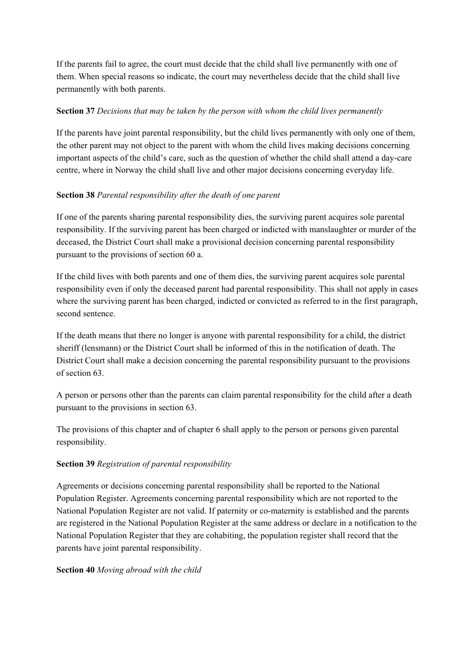If the parents fail to agree, the court must decide that the child shall live permanently with one of them. When special reasons so indicate, the court may nevertheless decide that the child shall live permanently with both parents.

## **Section 37** *Decisions that may be taken by the person with whom the child lives permanently*

If the parents have joint parental responsibility, but the child lives permanently with only one of them, the other parent may not object to the parent with whom the child lives making decisions concerning important aspects of the child's care, such as the question of whether the child shall attend a day-care centre, where in Norway the child shall live and other major decisions concerning everyday life.

# **Section 38** *Parental responsibility after the death of one parent*

If one of the parents sharing parental responsibility dies, the surviving parent acquires sole parental responsibility. If the surviving parent has been charged or indicted with manslaughter or murder of the deceased, the District Court shall make a provisional decision concerning parental responsibility pursuant to the provisions of section 60 a.

If the child lives with both parents and one of them dies, the surviving parent acquires sole parental responsibility even if only the deceased parent had parental responsibility. This shall not apply in cases where the surviving parent has been charged, indicted or convicted as referred to in the first paragraph, second sentence.

If the death means that there no longer is anyone with parental responsibility for a child, the district sheriff (lensmann) or the District Court shall be informed of this in the notification of death. The District Court shall make a decision concerning the parental responsibility pursuant to the provisions of section 63.

A person or persons other than the parents can claim parental responsibility for the child after a death pursuant to the provisions in section 63.

The provisions of this chapter and of chapter 6 shall apply to the person or persons given parental responsibility.

## **Section 39** *Registration of parental responsibility*

Agreements or decisions concerning parental responsibility shall be reported to the National Population Register. Agreements concerning parental responsibility which are not reported to the National Population Register are not valid. If paternity or co-maternity is established and the parents are registered in the National Population Register at the same address or declare in a notification to the National Population Register that they are cohabiting, the population register shall record that the parents have joint parental responsibility.

## **Section 40** *Moving abroad with the child*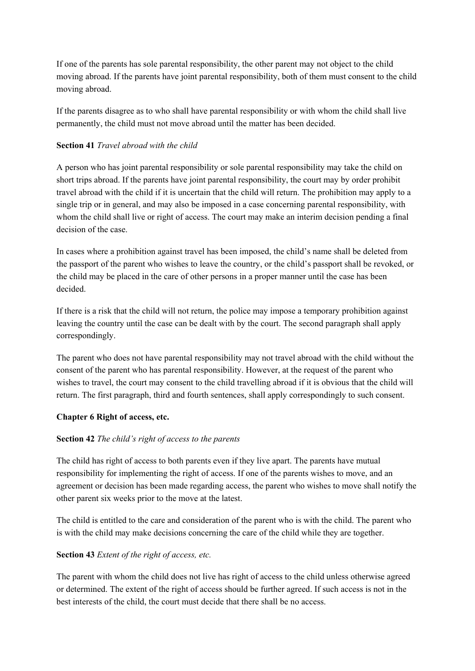If one of the parents has sole parental responsibility, the other parent may not object to the child moving abroad. If the parents have joint parental responsibility, both of them must consent to the child moving abroad.

If the parents disagree as to who shall have parental responsibility or with whom the child shall live permanently, the child must not move abroad until the matter has been decided.

## **Section 41** *Travel abroad with the child*

A person who has joint parental responsibility or sole parental responsibility may take the child on short trips abroad. If the parents have joint parental responsibility, the court may by order prohibit travel abroad with the child if it is uncertain that the child will return. The prohibition may apply to a single trip or in general, and may also be imposed in a case concerning parental responsibility, with whom the child shall live or right of access. The court may make an interim decision pending a final decision of the case.

In cases where a prohibition against travel has been imposed, the child's name shall be deleted from the passport of the parent who wishes to leave the country, or the child's passport shall be revoked, or the child may be placed in the care of other persons in a proper manner until the case has been decided.

If there is a risk that the child will not return, the police may impose a temporary prohibition against leaving the country until the case can be dealt with by the court. The second paragraph shall apply correspondingly.

The parent who does not have parental responsibility may not travel abroad with the child without the consent of the parent who has parental responsibility. However, at the request of the parent who wishes to travel, the court may consent to the child travelling abroad if it is obvious that the child will return. The first paragraph, third and fourth sentences, shall apply correspondingly to such consent.

## **Chapter 6 Right of access, etc.**

## **Section 42** *The child's right of access to the parents*

The child has right of access to both parents even if they live apart. The parents have mutual responsibility for implementing the right of access. If one of the parents wishes to move, and an agreement or decision has been made regarding access, the parent who wishes to move shall notify the other parent six weeks prior to the move at the latest.

The child is entitled to the care and consideration of the parent who is with the child. The parent who is with the child may make decisions concerning the care of the child while they are together.

## **Section 43** *Extent of the right of access, etc.*

The parent with whom the child does not live has right of access to the child unless otherwise agreed or determined. The extent of the right of access should be further agreed. If such access is not in the best interests of the child, the court must decide that there shall be no access.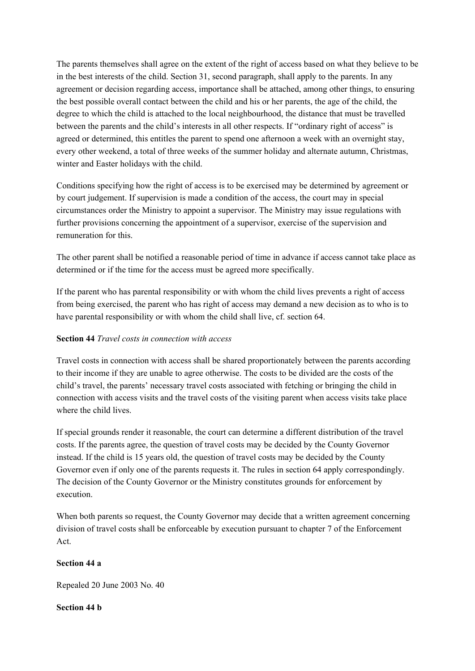The parents themselves shall agree on the extent of the right of access based on what they believe to be in the best interests of the child. Section 31, second paragraph, shall apply to the parents. In any agreement or decision regarding access, importance shall be attached, among other things, to ensuring the best possible overall contact between the child and his or her parents, the age of the child, the degree to which the child is attached to the local neighbourhood, the distance that must be travelled between the parents and the child's interests in all other respects. If "ordinary right of access" is agreed or determined, this entitles the parent to spend one afternoon a week with an overnight stay, every other weekend, a total of three weeks of the summer holiday and alternate autumn, Christmas, winter and Easter holidays with the child.

Conditions specifying how the right of access is to be exercised may be determined by agreement or by court judgement. If supervision is made a condition of the access, the court may in special circumstances order the Ministry to appoint a supervisor. The Ministry may issue regulations with further provisions concerning the appointment of a supervisor, exercise of the supervision and remuneration for this.

The other parent shall be notified a reasonable period of time in advance if access cannot take place as determined or if the time for the access must be agreed more specifically.

If the parent who has parental responsibility or with whom the child lives prevents a right of access from being exercised, the parent who has right of access may demand a new decision as to who is to have parental responsibility or with whom the child shall live, cf. section 64.

## **Section 44** *Travel costs in connection with access*

Travel costs in connection with access shall be shared proportionately between the parents according to their income if they are unable to agree otherwise. The costs to be divided are the costs of the child's travel, the parents' necessary travel costs associated with fetching or bringing the child in connection with access visits and the travel costs of the visiting parent when access visits take place where the child lives.

If special grounds render it reasonable, the court can determine a different distribution of the travel costs. If the parents agree, the question of travel costs may be decided by the County Governor instead. If the child is 15 years old, the question of travel costs may be decided by the County Governor even if only one of the parents requests it. The rules in section 64 apply correspondingly. The decision of the County Governor or the Ministry constitutes grounds for enforcement by execution.

When both parents so request, the County Governor may decide that a written agreement concerning division of travel costs shall be enforceable by execution pursuant to chapter 7 of the Enforcement Act.

#### **Section 44 a**

Repealed 20 June 2003 No. 40

## **Section 44 b**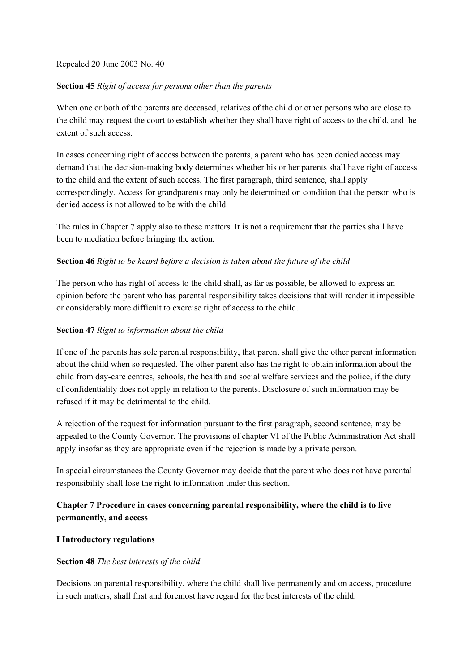Repealed 20 June 2003 No. 40

#### **Section 45** *Right of access for persons other than the parents*

When one or both of the parents are deceased, relatives of the child or other persons who are close to the child may request the court to establish whether they shall have right of access to the child, and the extent of such access.

In cases concerning right of access between the parents, a parent who has been denied access may demand that the decision-making body determines whether his or her parents shall have right of access to the child and the extent of such access. The first paragraph, third sentence, shall apply correspondingly. Access for grandparents may only be determined on condition that the person who is denied access is not allowed to be with the child.

The rules in Chapter 7 apply also to these matters. It is not a requirement that the parties shall have been to mediation before bringing the action.

## **Section 46** *Right to be heard before a decision is taken about the future of the child*

The person who has right of access to the child shall, as far as possible, be allowed to express an opinion before the parent who has parental responsibility takes decisions that will render it impossible or considerably more difficult to exercise right of access to the child.

## **Section 47** *Right to information about the child*

If one of the parents has sole parental responsibility, that parent shall give the other parent information about the child when so requested. The other parent also has the right to obtain information about the child from day-care centres, schools, the health and social welfare services and the police, if the duty of confidentiality does not apply in relation to the parents. Disclosure of such information may be refused if it may be detrimental to the child.

A rejection of the request for information pursuant to the first paragraph, second sentence, may be appealed to the County Governor. The provisions of chapter VI of the Public Administration Act shall apply insofar as they are appropriate even if the rejection is made by a private person.

In special circumstances the County Governor may decide that the parent who does not have parental responsibility shall lose the right to information under this section.

# **Chapter 7 Procedure in cases concerning parental responsibility, where the child is to live permanently, and access**

## **I Introductory regulations**

#### **Section 48** *The best interests of the child*

Decisions on parental responsibility, where the child shall live permanently and on access, procedure in such matters, shall first and foremost have regard for the best interests of the child.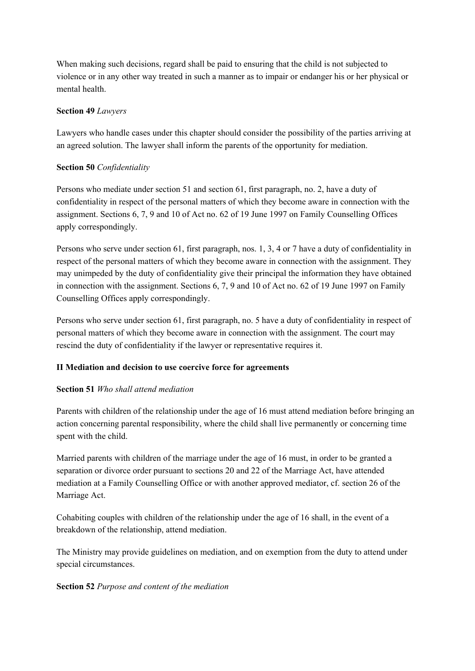When making such decisions, regard shall be paid to ensuring that the child is not subjected to violence or in any other way treated in such a manner as to impair or endanger his or her physical or mental health.

## **Section 49** *Lawyers*

Lawyers who handle cases under this chapter should consider the possibility of the parties arriving at an agreed solution. The lawyer shall inform the parents of the opportunity for mediation.

## **Section 50** *Confidentiality*

Persons who mediate under section 51 and section 61, first paragraph, no. 2, have a duty of confidentiality in respect of the personal matters of which they become aware in connection with the assignment. Sections 6, 7, 9 and 10 of Act no. 62 of 19 June 1997 on Family Counselling Offices apply correspondingly.

Persons who serve under section 61, first paragraph, nos. 1, 3, 4 or 7 have a duty of confidentiality in respect of the personal matters of which they become aware in connection with the assignment. They may unimpeded by the duty of confidentiality give their principal the information they have obtained in connection with the assignment. Sections 6, 7, 9 and 10 of Act no. 62 of 19 June 1997 on Family Counselling Offices apply correspondingly.

Persons who serve under section 61, first paragraph, no. 5 have a duty of confidentiality in respect of personal matters of which they become aware in connection with the assignment. The court may rescind the duty of confidentiality if the lawyer or representative requires it.

## **II Mediation and decision to use coercive force for agreements**

## **Section 51** *Who shall attend mediation*

Parents with children of the relationship under the age of 16 must attend mediation before bringing an action concerning parental responsibility, where the child shall live permanently or concerning time spent with the child.

Married parents with children of the marriage under the age of 16 must, in order to be granted a separation or divorce order pursuant to sections 20 and 22 of the Marriage Act, have attended mediation at a Family Counselling Office or with another approved mediator, cf. section 26 of the Marriage Act.

Cohabiting couples with children of the relationship under the age of 16 shall, in the event of a breakdown of the relationship, attend mediation.

The Ministry may provide guidelines on mediation, and on exemption from the duty to attend under special circumstances.

#### **Section 52** *Purpose and content of the mediation*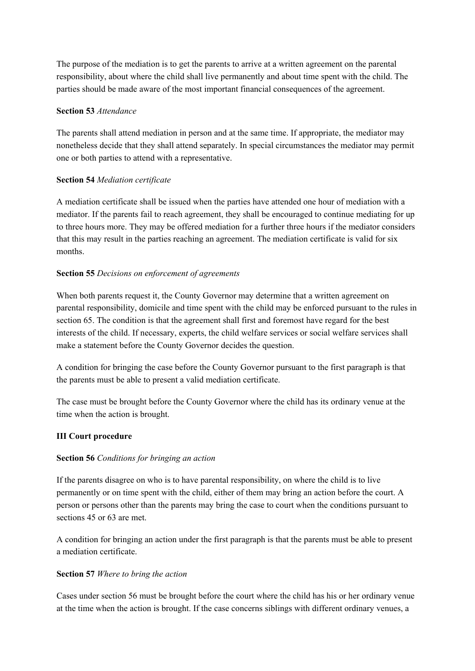The purpose of the mediation is to get the parents to arrive at a written agreement on the parental responsibility, about where the child shall live permanently and about time spent with the child. The parties should be made aware of the most important financial consequences of the agreement.

## **Section 53** *Attendance*

The parents shall attend mediation in person and at the same time. If appropriate, the mediator may nonetheless decide that they shall attend separately. In special circumstances the mediator may permit one or both parties to attend with a representative.

# **Section 54** *Mediation certificate*

A mediation certificate shall be issued when the parties have attended one hour of mediation with a mediator. If the parents fail to reach agreement, they shall be encouraged to continue mediating for up to three hours more. They may be offered mediation for a further three hours if the mediator considers that this may result in the parties reaching an agreement. The mediation certificate is valid for six months.

# **Section 55** *Decisions on enforcement of agreements*

When both parents request it, the County Governor may determine that a written agreement on parental responsibility, domicile and time spent with the child may be enforced pursuant to the rules in section 65. The condition is that the agreement shall first and foremost have regard for the best interests of the child. If necessary, experts, the child welfare services or social welfare services shall make a statement before the County Governor decides the question.

A condition for bringing the case before the County Governor pursuant to the first paragraph is that the parents must be able to present a valid mediation certificate.

The case must be brought before the County Governor where the child has its ordinary venue at the time when the action is brought.

# **III Court procedure**

## **Section 56** *Conditions for bringing an action*

If the parents disagree on who is to have parental responsibility, on where the child is to live permanently or on time spent with the child, either of them may bring an action before the court. A person or persons other than the parents may bring the case to court when the conditions pursuant to sections 45 or 63 are met.

A condition for bringing an action under the first paragraph is that the parents must be able to present a mediation certificate.

## **Section 57** *Where to bring the action*

Cases under section 56 must be brought before the court where the child has his or her ordinary venue at the time when the action is brought. If the case concerns siblings with different ordinary venues, a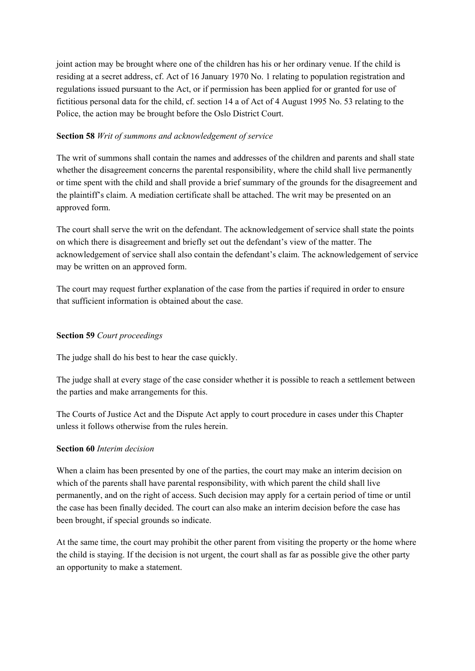joint action may be brought where one of the children has his or her ordinary venue. If the child is residing at a secret address, cf. Act of 16 January 1970 No. 1 relating to population registration and regulations issued pursuant to the Act, or if permission has been applied for or granted for use of fictitious personal data for the child, cf. section 14 a of Act of 4 August 1995 No. 53 relating to the Police, the action may be brought before the Oslo District Court.

## **Section 58** *Writ of summons and acknowledgement of service*

The writ of summons shall contain the names and addresses of the children and parents and shall state whether the disagreement concerns the parental responsibility, where the child shall live permanently or time spent with the child and shall provide a brief summary of the grounds for the disagreement and the plaintiff's claim. A mediation certificate shall be attached. The writ may be presented on an approved form.

The court shall serve the writ on the defendant. The acknowledgement of service shall state the points on which there is disagreement and briefly set out the defendant's view of the matter. The acknowledgement of service shall also contain the defendant's claim. The acknowledgement of service may be written on an approved form.

The court may request further explanation of the case from the parties if required in order to ensure that sufficient information is obtained about the case.

## **Section 59** *Court proceedings*

The judge shall do his best to hear the case quickly.

The judge shall at every stage of the case consider whether it is possible to reach a settlement between the parties and make arrangements for this.

The Courts of Justice Act and the Dispute Act apply to court procedure in cases under this Chapter unless it follows otherwise from the rules herein.

## **Section 60** *Interim decision*

When a claim has been presented by one of the parties, the court may make an interim decision on which of the parents shall have parental responsibility, with which parent the child shall live permanently, and on the right of access. Such decision may apply for a certain period of time or until the case has been finally decided. The court can also make an interim decision before the case has been brought, if special grounds so indicate.

At the same time, the court may prohibit the other parent from visiting the property or the home where the child is staying. If the decision is not urgent, the court shall as far as possible give the other party an opportunity to make a statement.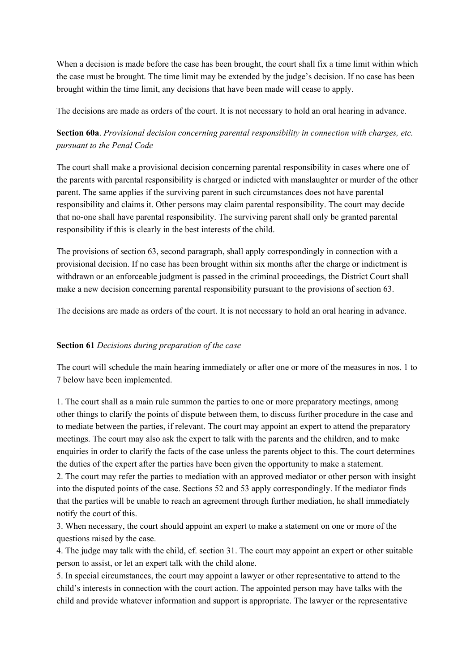When a decision is made before the case has been brought, the court shall fix a time limit within which the case must be brought. The time limit may be extended by the judge's decision. If no case has been brought within the time limit, any decisions that have been made will cease to apply.

The decisions are made as orders of the court. It is not necessary to hold an oral hearing in advance.

**Section 60a**. *Provisional decision concerning parental responsibility in connection with charges, etc. pursuant to the Penal Code*

The court shall make a provisional decision concerning parental responsibility in cases where one of the parents with parental responsibility is charged or indicted with manslaughter or murder of the other parent. The same applies if the surviving parent in such circumstances does not have parental responsibility and claims it. Other persons may claim parental responsibility. The court may decide that no-one shall have parental responsibility. The surviving parent shall only be granted parental responsibility if this is clearly in the best interests of the child.

The provisions of section 63, second paragraph, shall apply correspondingly in connection with a provisional decision. If no case has been brought within six months after the charge or indictment is withdrawn or an enforceable judgment is passed in the criminal proceedings, the District Court shall make a new decision concerning parental responsibility pursuant to the provisions of section 63.

The decisions are made as orders of the court. It is not necessary to hold an oral hearing in advance.

#### **Section 61** *Decisions during preparation of the case*

The court will schedule the main hearing immediately or after one or more of the measures in nos. 1 to 7 below have been implemented.

1. The court shall as a main rule summon the parties to one or more preparatory meetings, among other things to clarify the points of dispute between them, to discuss further procedure in the case and to mediate between the parties, if relevant. The court may appoint an expert to attend the preparatory meetings. The court may also ask the expert to talk with the parents and the children, and to make enquiries in order to clarify the facts of the case unless the parents object to this. The court determines the duties of the expert after the parties have been given the opportunity to make a statement.

2. The court may refer the parties to mediation with an approved mediator or other person with insight into the disputed points of the case. Sections 52 and 53 apply correspondingly. If the mediator finds that the parties will be unable to reach an agreement through further mediation, he shall immediately notify the court of this.

3. When necessary, the court should appoint an expert to make a statement on one or more of the questions raised by the case.

4. The judge may talk with the child, cf. section 31. The court may appoint an expert or other suitable person to assist, or let an expert talk with the child alone.

5. In special circumstances, the court may appoint a lawyer or other representative to attend to the child's interests in connection with the court action. The appointed person may have talks with the child and provide whatever information and support is appropriate. The lawyer or the representative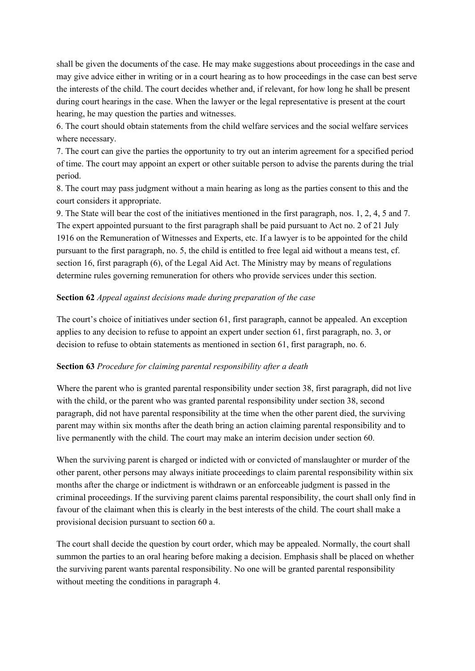shall be given the documents of the case. He may make suggestions about proceedings in the case and may give advice either in writing or in a court hearing as to how proceedings in the case can best serve the interests of the child. The court decides whether and, if relevant, for how long he shall be present during court hearings in the case. When the lawyer or the legal representative is present at the court hearing, he may question the parties and witnesses.

6. The court should obtain statements from the child welfare services and the social welfare services where necessary.

7. The court can give the parties the opportunity to try out an interim agreement for a specified period of time. The court may appoint an expert or other suitable person to advise the parents during the trial period.

8. The court may pass judgment without a main hearing as long as the parties consent to this and the court considers it appropriate.

9. The State will bear the cost of the initiatives mentioned in the first paragraph, nos. 1, 2, 4, 5 and 7. The expert appointed pursuant to the first paragraph shall be paid pursuant to Act no. 2 of 21 July 1916 on the Remuneration of Witnesses and Experts, etc. If a lawyer is to be appointed for the child pursuant to the first paragraph, no. 5, the child is entitled to free legal aid without a means test, cf. section 16, first paragraph (6), of the Legal Aid Act. The Ministry may by means of regulations determine rules governing remuneration for others who provide services under this section.

## **Section 62** *Appeal against decisions made during preparation of the case*

The court's choice of initiatives under section 61, first paragraph, cannot be appealed. An exception applies to any decision to refuse to appoint an expert under section 61, first paragraph, no. 3, or decision to refuse to obtain statements as mentioned in section 61, first paragraph, no. 6.

#### **Section 63** *Procedure for claiming parental responsibility after a death*

Where the parent who is granted parental responsibility under section 38, first paragraph, did not live with the child, or the parent who was granted parental responsibility under section 38, second paragraph, did not have parental responsibility at the time when the other parent died, the surviving parent may within six months after the death bring an action claiming parental responsibility and to live permanently with the child. The court may make an interim decision under section 60.

When the surviving parent is charged or indicted with or convicted of manslaughter or murder of the other parent, other persons may always initiate proceedings to claim parental responsibility within six months after the charge or indictment is withdrawn or an enforceable judgment is passed in the criminal proceedings. If the surviving parent claims parental responsibility, the court shall only find in favour of the claimant when this is clearly in the best interests of the child. The court shall make a provisional decision pursuant to section 60 a.

The court shall decide the question by court order, which may be appealed. Normally, the court shall summon the parties to an oral hearing before making a decision. Emphasis shall be placed on whether the surviving parent wants parental responsibility. No one will be granted parental responsibility without meeting the conditions in paragraph 4.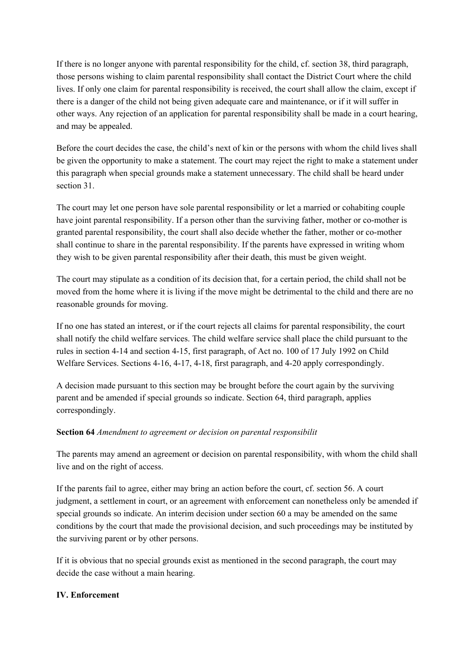If there is no longer anyone with parental responsibility for the child, cf. section 38, third paragraph, those persons wishing to claim parental responsibility shall contact the District Court where the child lives. If only one claim for parental responsibility is received, the court shall allow the claim, except if there is a danger of the child not being given adequate care and maintenance, or if it will suffer in other ways. Any rejection of an application for parental responsibility shall be made in a court hearing, and may be appealed.

Before the court decides the case, the child's next of kin or the persons with whom the child lives shall be given the opportunity to make a statement. The court may reject the right to make a statement under this paragraph when special grounds make a statement unnecessary. The child shall be heard under section 31.

The court may let one person have sole parental responsibility or let a married or cohabiting couple have joint parental responsibility. If a person other than the surviving father, mother or co-mother is granted parental responsibility, the court shall also decide whether the father, mother or co-mother shall continue to share in the parental responsibility. If the parents have expressed in writing whom they wish to be given parental responsibility after their death, this must be given weight.

The court may stipulate as a condition of its decision that, for a certain period, the child shall not be moved from the home where it is living if the move might be detrimental to the child and there are no reasonable grounds for moving.

If no one has stated an interest, or if the court rejects all claims for parental responsibility, the court shall notify the child welfare services. The child welfare service shall place the child pursuant to the rules in section 4-14 and section 4-15, first paragraph, of Act no. 100 of 17 July 1992 on Child Welfare Services. Sections 4-16, 4-17, 4-18, first paragraph, and 4-20 apply correspondingly.

A decision made pursuant to this section may be brought before the court again by the surviving parent and be amended if special grounds so indicate. Section 64, third paragraph, applies correspondingly.

## **Section 64** *Amendment to agreement or decision on parental responsibilit*

The parents may amend an agreement or decision on parental responsibility, with whom the child shall live and on the right of access.

If the parents fail to agree, either may bring an action before the court, cf. section 56. A court judgment, a settlement in court, or an agreement with enforcement can nonetheless only be amended if special grounds so indicate. An interim decision under section 60 a may be amended on the same conditions by the court that made the provisional decision, and such proceedings may be instituted by the surviving parent or by other persons.

If it is obvious that no special grounds exist as mentioned in the second paragraph, the court may decide the case without a main hearing.

## **IV. Enforcement**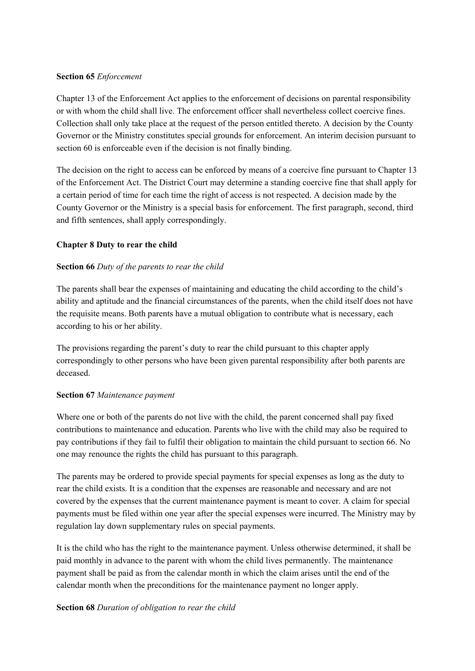#### **Section 65** *Enforcement*

Chapter 13 of the Enforcement Act applies to the enforcement of decisions on parental responsibility or with whom the child shall live. The enforcement officer shall nevertheless collect coercive fines. Collection shall only take place at the request of the person entitled thereto. A decision by the County Governor or the Ministry constitutes special grounds for enforcement. An interim decision pursuant to section 60 is enforceable even if the decision is not finally binding.

The decision on the right to access can be enforced by means of a coercive fine pursuant to Chapter 13 of the Enforcement Act. The District Court may determine a standing coercive fine that shall apply for a certain period of time for each time the right of access is not respected. A decision made by the County Governor or the Ministry is a special basis for enforcement. The first paragraph, second, third and fifth sentences, shall apply correspondingly.

# **Chapter 8 Duty to rear the child**

# **Section 66** *Duty of the parents to rear the child*

The parents shall bear the expenses of maintaining and educating the child according to the child's ability and aptitude and the financial circumstances of the parents, when the child itself does not have the requisite means. Both parents have a mutual obligation to contribute what is necessary, each according to his or her ability.

The provisions regarding the parent's duty to rear the child pursuant to this chapter apply correspondingly to other persons who have been given parental responsibility after both parents are deceased.

## **Section 67** *Maintenance payment*

Where one or both of the parents do not live with the child, the parent concerned shall pay fixed contributions to maintenance and education. Parents who live with the child may also be required to pay contributions if they fail to fulfil their obligation to maintain the child pursuant to section 66. No one may renounce the rights the child has pursuant to this paragraph.

The parents may be ordered to provide special payments for special expenses as long as the duty to rear the child exists. It is a condition that the expenses are reasonable and necessary and are not covered by the expenses that the current maintenance payment is meant to cover. A claim for special payments must be filed within one year after the special expenses were incurred. The Ministry may by regulation lay down supplementary rules on special payments.

It is the child who has the right to the maintenance payment. Unless otherwise determined, it shall be paid monthly in advance to the parent with whom the child lives permanently. The maintenance payment shall be paid as from the calendar month in which the claim arises until the end of the calendar month when the preconditions for the maintenance payment no longer apply.

## **Section 68** *Duration of obligation to rear the child*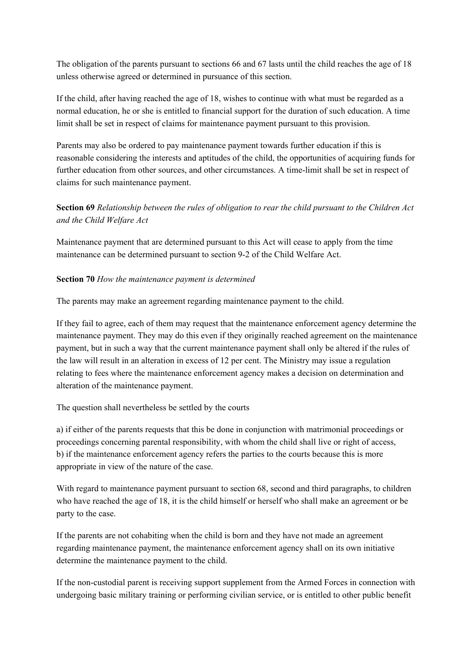The obligation of the parents pursuant to sections 66 and 67 lasts until the child reaches the age of 18 unless otherwise agreed or determined in pursuance of this section.

If the child, after having reached the age of 18, wishes to continue with what must be regarded as a normal education, he or she is entitled to financial support for the duration of such education. A time limit shall be set in respect of claims for maintenance payment pursuant to this provision.

Parents may also be ordered to pay maintenance payment towards further education if this is reasonable considering the interests and aptitudes of the child, the opportunities of acquiring funds for further education from other sources, and other circumstances. A time-limit shall be set in respect of claims for such maintenance payment.

**Section 69** *Relationship between the rules of obligation to rear the child pursuant to the Children Act and the Child Welfare Act*

Maintenance payment that are determined pursuant to this Act will cease to apply from the time maintenance can be determined pursuant to section 9-2 of the Child Welfare Act.

#### **Section 70** *How the maintenance payment is determined*

The parents may make an agreement regarding maintenance payment to the child.

If they fail to agree, each of them may request that the maintenance enforcement agency determine the maintenance payment. They may do this even if they originally reached agreement on the maintenance payment, but in such a way that the current maintenance payment shall only be altered if the rules of the law will result in an alteration in excess of 12 per cent. The Ministry may issue a regulation relating to fees where the maintenance enforcement agency makes a decision on determination and alteration of the maintenance payment.

The question shall nevertheless be settled by the courts

a) if either of the parents requests that this be done in conjunction with matrimonial proceedings or proceedings concerning parental responsibility, with whom the child shall live or right of access, b) if the maintenance enforcement agency refers the parties to the courts because this is more appropriate in view of the nature of the case.

With regard to maintenance payment pursuant to section 68, second and third paragraphs, to children who have reached the age of 18, it is the child himself or herself who shall make an agreement or be party to the case.

If the parents are not cohabiting when the child is born and they have not made an agreement regarding maintenance payment, the maintenance enforcement agency shall on its own initiative determine the maintenance payment to the child.

If the non-custodial parent is receiving support supplement from the Armed Forces in connection with undergoing basic military training or performing civilian service, or is entitled to other public benefit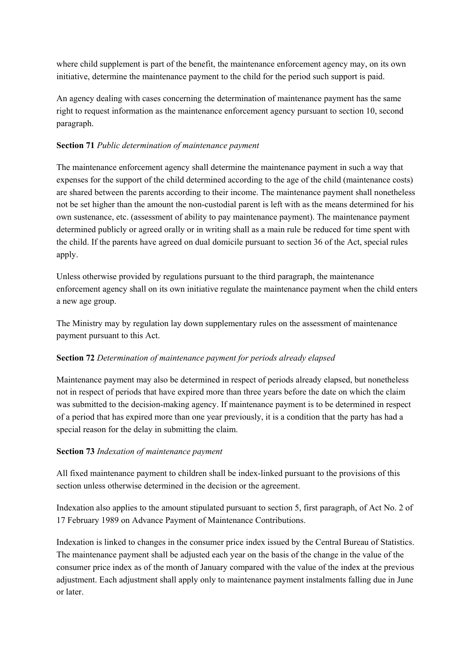where child supplement is part of the benefit, the maintenance enforcement agency may, on its own initiative, determine the maintenance payment to the child for the period such support is paid.

An agency dealing with cases concerning the determination of maintenance payment has the same right to request information as the maintenance enforcement agency pursuant to section 10, second paragraph.

## **Section 71** *Public determination of maintenance payment*

The maintenance enforcement agency shall determine the maintenance payment in such a way that expenses for the support of the child determined according to the age of the child (maintenance costs) are shared between the parents according to their income. The maintenance payment shall nonetheless not be set higher than the amount the non-custodial parent is left with as the means determined for his own sustenance, etc. (assessment of ability to pay maintenance payment). The maintenance payment determined publicly or agreed orally or in writing shall as a main rule be reduced for time spent with the child. If the parents have agreed on dual domicile pursuant to section 36 of the Act, special rules apply.

Unless otherwise provided by regulations pursuant to the third paragraph, the maintenance enforcement agency shall on its own initiative regulate the maintenance payment when the child enters a new age group.

The Ministry may by regulation lay down supplementary rules on the assessment of maintenance payment pursuant to this Act.

## **Section 72** *Determination of maintenance payment for periods already elapsed*

Maintenance payment may also be determined in respect of periods already elapsed, but nonetheless not in respect of periods that have expired more than three years before the date on which the claim was submitted to the decision-making agency. If maintenance payment is to be determined in respect of a period that has expired more than one year previously, it is a condition that the party has had a special reason for the delay in submitting the claim.

#### **Section 73** *Indexation of maintenance payment*

All fixed maintenance payment to children shall be index-linked pursuant to the provisions of this section unless otherwise determined in the decision or the agreement.

Indexation also applies to the amount stipulated pursuant to section 5, first paragraph, of Act No. 2 of 17 February 1989 on Advance Payment of Maintenance Contributions.

Indexation is linked to changes in the consumer price index issued by the Central Bureau of Statistics. The maintenance payment shall be adjusted each year on the basis of the change in the value of the consumer price index as of the month of January compared with the value of the index at the previous adjustment. Each adjustment shall apply only to maintenance payment instalments falling due in June or later.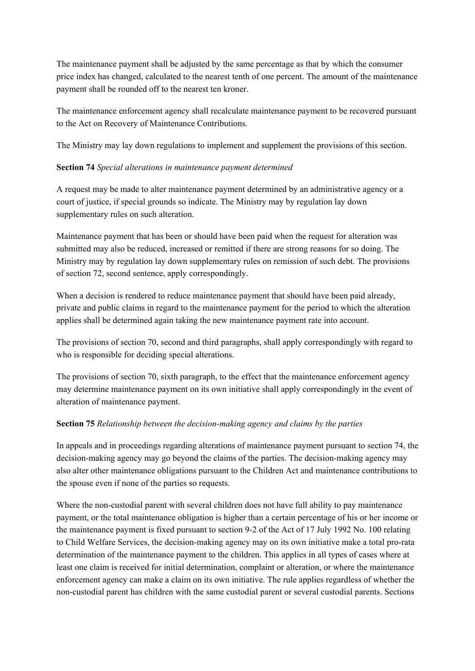The maintenance payment shall be adjusted by the same percentage as that by which the consumer price index has changed, calculated to the nearest tenth of one percent. The amount of the maintenance payment shall be rounded off to the nearest ten kroner.

The maintenance enforcement agency shall recalculate maintenance payment to be recovered pursuant to the Act on Recovery of Maintenance Contributions.

The Ministry may lay down regulations to implement and supplement the provisions of this section.

## **Section 74** *Special alterations in maintenance payment determined*

A request may be made to alter maintenance payment determined by an administrative agency or a court of justice, if special grounds so indicate. The Ministry may by regulation lay down supplementary rules on such alteration.

Maintenance payment that has been or should have been paid when the request for alteration was submitted may also be reduced, increased or remitted if there are strong reasons for so doing. The Ministry may by regulation lay down supplementary rules on remission of such debt. The provisions of section 72, second sentence, apply correspondingly.

When a decision is rendered to reduce maintenance payment that should have been paid already, private and public claims in regard to the maintenance payment for the period to which the alteration applies shall be determined again taking the new maintenance payment rate into account.

The provisions of section 70, second and third paragraphs, shall apply correspondingly with regard to who is responsible for deciding special alterations.

The provisions of section 70, sixth paragraph, to the effect that the maintenance enforcement agency may determine maintenance payment on its own initiative shall apply correspondingly in the event of alteration of maintenance payment.

# **Section 75** *Relationship between the decision-making agency and claims by the parties*

In appeals and in proceedings regarding alterations of maintenance payment pursuant to section 74, the decision-making agency may go beyond the claims of the parties. The decision-making agency may also alter other maintenance obligations pursuant to the Children Act and maintenance contributions to the spouse even if none of the parties so requests.

Where the non-custodial parent with several children does not have full ability to pay maintenance payment, or the total maintenance obligation is higher than a certain percentage of his or her income or the maintenance payment is fixed pursuant to section 9-2 of the Act of 17 July 1992 No. 100 relating to Child Welfare Services, the decision-making agency may on its own initiative make a total pro-rata determination of the maintenance payment to the children. This applies in all types of cases where at least one claim is received for initial determination, complaint or alteration, or where the maintenance enforcement agency can make a claim on its own initiative. The rule applies regardless of whether the non-custodial parent has children with the same custodial parent or several custodial parents. Sections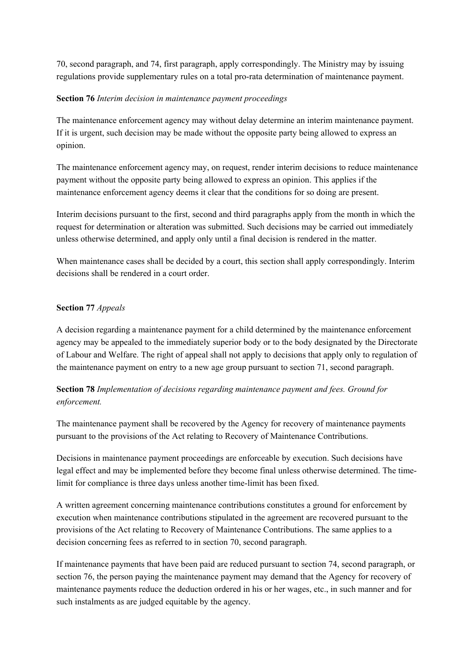70, second paragraph, and 74, first paragraph, apply correspondingly. The Ministry may by issuing regulations provide supplementary rules on a total pro-rata determination of maintenance payment.

#### **Section 76** *Interim decision in maintenance payment proceedings*

The maintenance enforcement agency may without delay determine an interim maintenance payment. If it is urgent, such decision may be made without the opposite party being allowed to express an opinion.

The maintenance enforcement agency may, on request, render interim decisions to reduce maintenance payment without the opposite party being allowed to express an opinion. This applies if the maintenance enforcement agency deems it clear that the conditions for so doing are present.

Interim decisions pursuant to the first, second and third paragraphs apply from the month in which the request for determination or alteration was submitted. Such decisions may be carried out immediately unless otherwise determined, and apply only until a final decision is rendered in the matter.

When maintenance cases shall be decided by a court, this section shall apply correspondingly. Interim decisions shall be rendered in a court order.

## **Section 77** *Appeals*

A decision regarding a maintenance payment for a child determined by the maintenance enforcement agency may be appealed to the immediately superior body or to the body designated by the Directorate of Labour and Welfare. The right of appeal shall not apply to decisions that apply only to regulation of the maintenance payment on entry to a new age group pursuant to section 71, second paragraph.

**Section 78** *Implementation of decisions regarding maintenance payment and fees. Ground for enforcement.*

The maintenance payment shall be recovered by the Agency for recovery of maintenance payments pursuant to the provisions of the Act relating to Recovery of Maintenance Contributions.

Decisions in maintenance payment proceedings are enforceable by execution. Such decisions have legal effect and may be implemented before they become final unless otherwise determined. The timelimit for compliance is three days unless another time-limit has been fixed.

A written agreement concerning maintenance contributions constitutes a ground for enforcement by execution when maintenance contributions stipulated in the agreement are recovered pursuant to the provisions of the Act relating to Recovery of Maintenance Contributions. The same applies to a decision concerning fees as referred to in section 70, second paragraph.

If maintenance payments that have been paid are reduced pursuant to section 74, second paragraph, or section 76, the person paying the maintenance payment may demand that the Agency for recovery of maintenance payments reduce the deduction ordered in his or her wages, etc., in such manner and for such instalments as are judged equitable by the agency.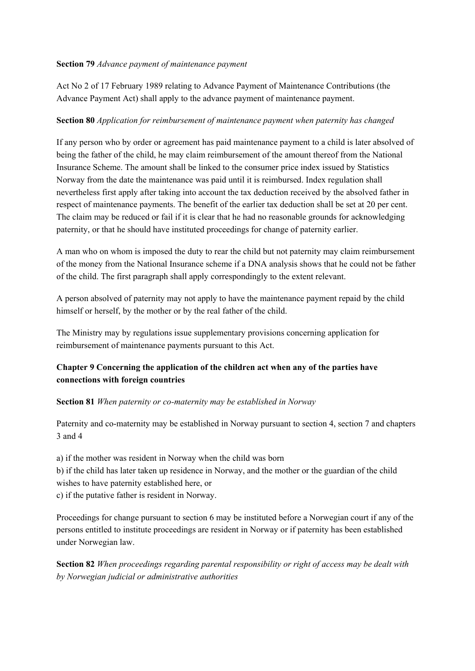#### **Section 79** *Advance payment of maintenance payment*

Act No 2 of 17 February 1989 relating to Advance Payment of Maintenance Contributions (the Advance Payment Act) shall apply to the advance payment of maintenance payment.

#### **Section 80** *Application for reimbursement of maintenance payment when paternity has changed*

If any person who by order or agreement has paid maintenance payment to a child is later absolved of being the father of the child, he may claim reimbursement of the amount thereof from the National Insurance Scheme. The amount shall be linked to the consumer price index issued by Statistics Norway from the date the maintenance was paid until it is reimbursed. Index regulation shall nevertheless first apply after taking into account the tax deduction received by the absolved father in respect of maintenance payments. The benefit of the earlier tax deduction shall be set at 20 per cent. The claim may be reduced or fail if it is clear that he had no reasonable grounds for acknowledging paternity, or that he should have instituted proceedings for change of paternity earlier.

A man who on whom is imposed the duty to rear the child but not paternity may claim reimbursement of the money from the National Insurance scheme if a DNA analysis shows that he could not be father of the child. The first paragraph shall apply correspondingly to the extent relevant.

A person absolved of paternity may not apply to have the maintenance payment repaid by the child himself or herself, by the mother or by the real father of the child.

The Ministry may by regulations issue supplementary provisions concerning application for reimbursement of maintenance payments pursuant to this Act.

# **Chapter 9 Concerning the application of the children act when any of the parties have connections with foreign countries**

**Section 81** *When paternity or co-maternity may be established in Norway*

Paternity and co-maternity may be established in Norway pursuant to section 4, section 7 and chapters 3 and 4

a) if the mother was resident in Norway when the child was born

b) if the child has later taken up residence in Norway, and the mother or the guardian of the child wishes to have paternity established here, or

c) if the putative father is resident in Norway.

Proceedings for change pursuant to section 6 may be instituted before a Norwegian court if any of the persons entitled to institute proceedings are resident in Norway or if paternity has been established under Norwegian law.

**Section 82** *When proceedings regarding parental responsibility or right of access may be dealt with by Norwegian judicial or administrative authorities*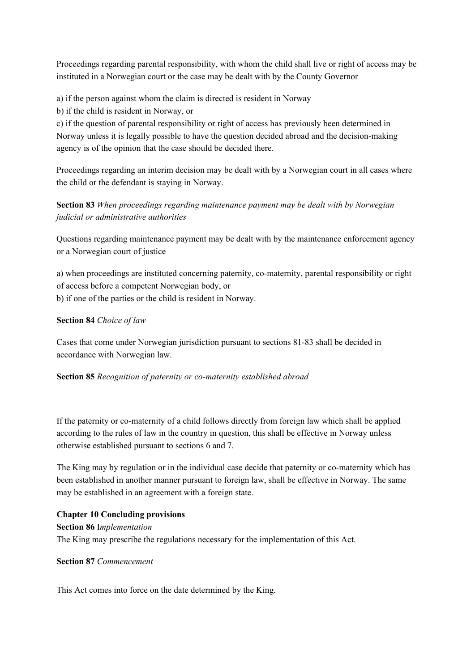Proceedings regarding parental responsibility, with whom the child shall live or right of access may be instituted in a Norwegian court or the case may be dealt with by the County Governor

a) if the person against whom the claim is directed is resident in Norway

b) if the child is resident in Norway, or

c) if the question of parental responsibility or right of access has previously been determined in Norway unless it is legally possible to have the question decided abroad and the decision-making agency is of the opinion that the case should be decided there.

Proceedings regarding an interim decision may be dealt with by a Norwegian court in all cases where the child or the defendant is staying in Norway.

# **Section 83** *When proceedings regarding maintenance payment may be dealt with by Norwegian judicial or administrative authorities*

Questions regarding maintenance payment may be dealt with by the maintenance enforcement agency or a Norwegian court of justice

a) when proceedings are instituted concerning paternity, co-maternity, parental responsibility or right of access before a competent Norwegian body, or b) if one of the parties or the child is resident in Norway.

## **Section 84** *Choice of law*

Cases that come under Norwegian jurisdiction pursuant to sections 81-83 shall be decided in accordance with Norwegian law.

**Section 85** *Recognition of paternity or co-maternity established abroad*

If the paternity or co-maternity of a child follows directly from foreign law which shall be applied according to the rules of law in the country in question, this shall be effective in Norway unless otherwise established pursuant to sections 6 and 7.

The King may by regulation or in the individual case decide that paternity or co-maternity which has been established in another manner pursuant to foreign law, shall be effective in Norway. The same may be established in an agreement with a foreign state.

## **Chapter 10 Concluding provisions**

**Section 86** I*mplementation* The King may prescribe the regulations necessary for the implementation of this Act.

#### **Section 87** *Commencement*

This Act comes into force on the date determined by the King.